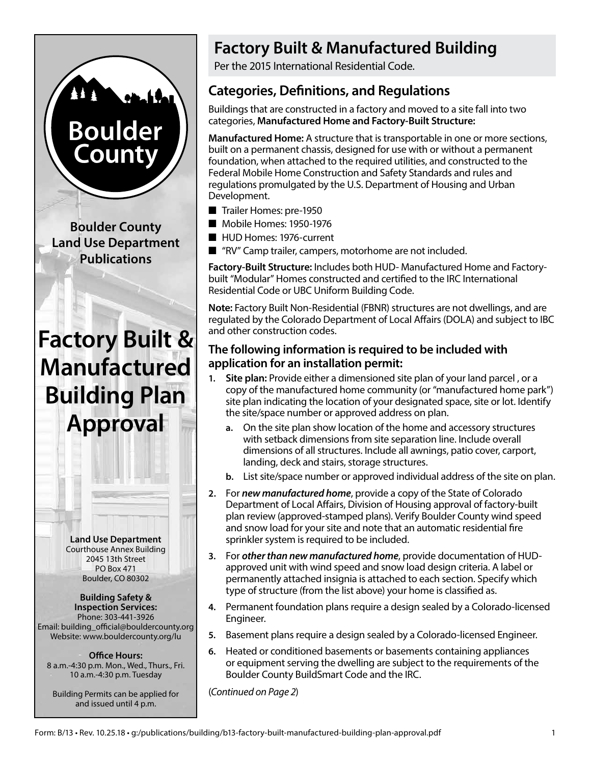# **Boulder County**

**Boulder County Land Use Department Publications**

## **Factory Built & Manufactured Building Plan Approval**

**Land Use Department** Courthouse Annex Building 2045 13th Street PO Box 471 Boulder, CO 80302

**Building Safety & Inspection Services:** Phone: 303-441-3926 Email: building\_official@bouldercounty.org Website: www.bouldercounty.org/lu

**Office Hours:** 8 a.m.-4:30 p.m. Mon., Wed., Thurs., Fri. 10 a.m.-4:30 p.m. Tuesday

Building Permits can be applied for and issued until 4 p.m.

## **Factory Built & Manufactured Building**

Per the 2015 International Residential Code.

### **Categories, Definitions, and Regulations**

Buildings that are constructed in a factory and moved to a site fall into two categories, **Manufactured Home and Factory-Built Structure:**

**Manufactured Home:** A structure that is transportable in one or more sections, built on a permanent chassis, designed for use with or without a permanent foundation, when attached to the required utilities, and constructed to the Federal Mobile Home Construction and Safety Standards and rules and regulations promulgated by the U.S. Department of Housing and Urban Development.

- Trailer Homes: pre-1950
- Mobile Homes: 1950-1976
- HUD Homes: 1976-current
- "RV" Camp trailer, campers, motorhome are not included.

**Factory-Built Structure:** Includes both HUD- Manufactured Home and Factorybuilt "Modular" Homes constructed and certified to the IRC International Residential Code or UBC Uniform Building Code.

**Note:** Factory Built Non-Residential (FBNR) structures are not dwellings, and are regulated by the Colorado Department of Local Affairs (DOLA) and subject to IBC and other construction codes.

#### **The following information is required to be included with application for an installation permit:**

- **1. Site plan:** Provide either a dimensioned site plan of your land parcel , or a copy of the manufactured home community (or "manufactured home park") site plan indicating the location of your designated space, site or lot. Identify the site/space number or approved address on plan.
	- **a.** On the site plan show location of the home and accessory structures with setback dimensions from site separation line. Include overall dimensions of all structures. Include all awnings, patio cover, carport, landing, deck and stairs, storage structures.
	- **b.** List site/space number or approved individual address of the site on plan.
- **2.** For *new manufactured home*, provide a copy of the State of Colorado Department of Local Affairs, Division of Housing approval of factory-built plan review (approved-stamped plans). Verify Boulder County wind speed and snow load for your site and note that an automatic residential fire sprinkler system is required to be included.
- **3.** For *other than new manufactured home*, provide documentation of HUDapproved unit with wind speed and snow load design criteria. A label or permanently attached insignia is attached to each section. Specify which type of structure (from the list above) your home is classified as.
- **4.** Permanent foundation plans require a design sealed by a Colorado-licensed Engineer.
- **5.** Basement plans require a design sealed by a Colorado-licensed Engineer.
- **6.** Heated or conditioned basements or basements containing appliances or equipment serving the dwelling are subject to the requirements of the Boulder County BuildSmart Code and the IRC.

(*Continued on Page 2*)